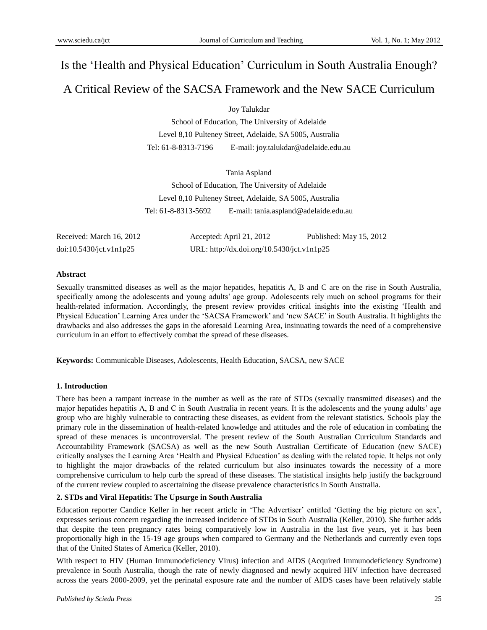# Is the "Health and Physical Education" Curriculum in South Australia Enough?

# A Critical Review of the SACSA Framework and the New SACE Curriculum

Joy Talukdar

School of Education, The University of Adelaide Level 8,10 Pulteney Street, Adelaide, SA 5005, Australia Tel: 61-8-8313-7196 E-mail: joy.talukdar@adelaide.edu.au

Tania Aspland

School of Education, The University of Adelaide Level 8,10 Pulteney Street, Adelaide, SA 5005, Australia Tel: 61-8-8313-5692 E-mail: tania.aspland@adelaide.edu.au

Received: March 16, 2012 Accepted: April 21, 2012 Published: May 15, 2012 doi:10.5430/jct.v1n1p25 URL: http://dx.doi.org/10.5430/jct.v1n1p25

### **Abstract**

Sexually transmitted diseases as well as the major hepatides, hepatitis A, B and C are on the rise in South Australia, specifically among the adolescents and young adults' age group. Adolescents rely much on school programs for their health-related information. Accordingly, the present review provides critical insights into the existing "Health and Physical Education" Learning Area under the "SACSA Framework" and "new SACE" in South Australia. It highlights the drawbacks and also addresses the gaps in the aforesaid Learning Area, insinuating towards the need of a comprehensive curriculum in an effort to effectively combat the spread of these diseases.

**Keywords:** Communicable Diseases, Adolescents, Health Education, SACSA, new SACE

# **1. Introduction**

There has been a rampant increase in the number as well as the rate of STDs (sexually transmitted diseases) and the major hepatides hepatitis A, B and C in South Australia in recent years. It is the adolescents and the young adults" age group who are highly vulnerable to contracting these diseases, as evident from the relevant statistics. Schools play the primary role in the dissemination of health-related knowledge and attitudes and the role of education in combating the spread of these menaces is uncontroversial. The present review of the South Australian Curriculum Standards and Accountability Framework (SACSA) as well as the new South Australian Certificate of Education (new SACE) critically analyses the Learning Area "Health and Physical Education" as dealing with the related topic. It helps not only to highlight the major drawbacks of the related curriculum but also insinuates towards the necessity of a more comprehensive curriculum to help curb the spread of these diseases. The statistical insights help justify the background of the current review coupled to ascertaining the disease prevalence characteristics in South Australia.

# **2. STDs and Viral Hepatitis: The Upsurge in South Australia**

Education reporter Candice Keller in her recent article in "The Advertiser" entitled "Getting the big picture on sex", expresses serious concern regarding the increased incidence of STDs in South Australia (Keller, 2010). She further adds that despite the teen pregnancy rates being comparatively low in Australia in the last five years, yet it has been proportionally high in the 15-19 age groups when compared to Germany and the Netherlands and currently even tops that of the United States of America (Keller, 2010).

With respect to HIV (Human Immunodeficiency Virus) infection and AIDS (Acquired Immunodeficiency Syndrome) prevalence in South Australia, though the rate of newly diagnosed and newly acquired HIV infection have decreased across the years 2000-2009, yet the perinatal exposure rate and the number of AIDS cases have been relatively stable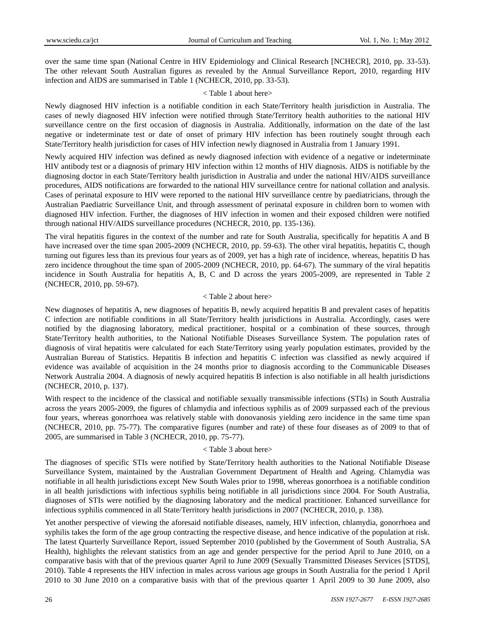over the same time span (National Centre in HIV Epidemiology and Clinical Research [NCHECR], 2010, pp. 33-53). The other relevant South Australian figures as revealed by the Annual Surveillance Report, 2010, regarding HIV infection and AIDS are summarised in Table 1 (NCHECR, 2010, pp. 33-53).

#### < Table 1 about here>

Newly diagnosed HIV infection is a notifiable condition in each State/Territory health jurisdiction in Australia. The cases of newly diagnosed HIV infection were notified through State/Territory health authorities to the national HIV surveillance centre on the first occasion of diagnosis in Australia. Additionally, information on the date of the last negative or indeterminate test or date of onset of primary HIV infection has been routinely sought through each State/Territory health jurisdiction for cases of HIV infection newly diagnosed in Australia from 1 January 1991.

Newly acquired HIV infection was defined as newly diagnosed infection with evidence of a negative or indeterminate HIV antibody test or a diagnosis of primary HIV infection within 12 months of HIV diagnosis. AIDS is notifiable by the diagnosing doctor in each State/Territory health jurisdiction in Australia and under the national HIV/AIDS surveillance procedures, AIDS notifications are forwarded to the national HIV surveillance centre for national collation and analysis. Cases of perinatal exposure to HIV were reported to the national HIV surveillance centre by paediatricians, through the Australian Paediatric Surveillance Unit, and through assessment of perinatal exposure in children born to women with diagnosed HIV infection. Further, the diagnoses of HIV infection in women and their exposed children were notified through national HIV/AIDS surveillance procedures (NCHECR, 2010, pp. 135-136).

The viral hepatitis figures in the context of the number and rate for South Australia, specifically for hepatitis A and B have increased over the time span 2005-2009 (NCHECR, 2010, pp. 59-63). The other viral hepatitis, hepatitis C, though turning out figures less than its previous four years as of 2009, yet has a high rate of incidence, whereas, hepatitis D has zero incidence throughout the time span of 2005-2009 (NCHECR, 2010, pp. 64-67). The summary of the viral hepatitis incidence in South Australia for hepatitis A, B, C and D across the years 2005-2009, are represented in Table 2 (NCHECR, 2010, pp. 59-67).

#### < Table 2 about here>

New diagnoses of hepatitis A, new diagnoses of hepatitis B, newly acquired hepatitis B and prevalent cases of hepatitis C infection are notifiable conditions in all State/Territory health jurisdictions in Australia. Accordingly, cases were notified by the diagnosing laboratory, medical practitioner, hospital or a combination of these sources, through State/Territory health authorities, to the National Notifiable Diseases Surveillance System. The population rates of diagnosis of viral hepatitis were calculated for each State/Territory using yearly population estimates, provided by the Australian Bureau of Statistics. Hepatitis B infection and hepatitis C infection was classified as newly acquired if evidence was available of acquisition in the 24 months prior to diagnosis according to the Communicable Diseases Network Australia 2004. A diagnosis of newly acquired hepatitis B infection is also notifiable in all health jurisdictions (NCHECR, 2010, p. 137).

With respect to the incidence of the classical and notifiable sexually transmissible infections (STIs) in South Australia across the years 2005-2009, the figures of chlamydia and infectious syphilis as of 2009 surpassed each of the previous four years, whereas gonorrhoea was relatively stable with donovanosis yielding zero incidence in the same time span (NCHECR, 2010, pp. 75-77). The comparative figures (number and rate) of these four diseases as of 2009 to that of 2005, are summarised in Table 3 (NCHECR, 2010, pp. 75-77).

#### < Table 3 about here>

The diagnoses of specific STIs were notified by State/Territory health authorities to the National Notifiable Disease Surveillance System, maintained by the Australian Government Department of Health and Ageing. Chlamydia was notifiable in all health jurisdictions except New South Wales prior to 1998, whereas gonorrhoea is a notifiable condition in all health jurisdictions with infectious syphilis being notifiable in all jurisdictions since 2004. For South Australia, diagnoses of STIs were notified by the diagnosing laboratory and the medical practitioner. Enhanced surveillance for infectious syphilis commenced in all State/Territory health jurisdictions in 2007 (NCHECR, 2010, p. 138).

Yet another perspective of viewing the aforesaid notifiable diseases, namely, HIV infection, chlamydia, gonorrhoea and syphilis takes the form of the age group contracting the respective disease, and hence indicative of the population at risk. The latest Quarterly Surveillance Report, issued September 2010 (published by the Government of South Australia, SA Health), highlights the relevant statistics from an age and gender perspective for the period April to June 2010, on a comparative basis with that of the previous quarter April to June 2009 (Sexually Transmitted Diseases Services [STDS], 2010). Table 4 represents the HIV infection in males across various age groups in South Australia for the period 1 April 2010 to 30 June 2010 on a comparative basis with that of the previous quarter 1 April 2009 to 30 June 2009, also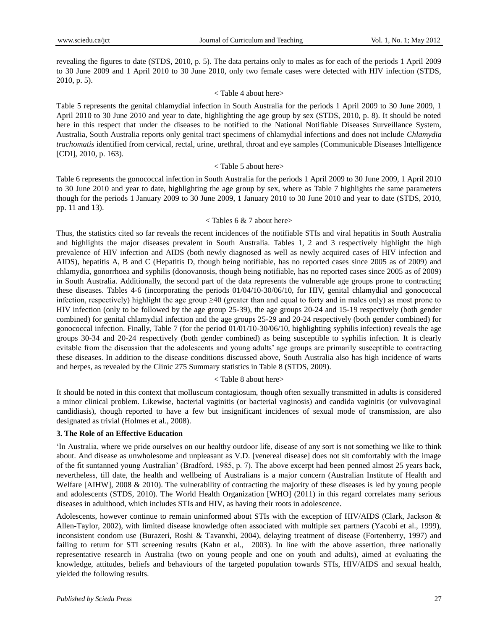revealing the figures to date (STDS, 2010, p. 5). The data pertains only to males as for each of the periods 1 April 2009 to 30 June 2009 and 1 April 2010 to 30 June 2010, only two female cases were detected with HIV infection (STDS, 2010, p. 5).

#### < Table 4 about here>

Table 5 represents the genital chlamydial infection in South Australia for the periods 1 April 2009 to 30 June 2009, 1 April 2010 to 30 June 2010 and year to date, highlighting the age group by sex (STDS, 2010, p. 8). It should be noted here in this respect that under the diseases to be notified to the National Notifiable Diseases Surveillance System, Australia, South Australia reports only genital tract specimens of chlamydial infections and does not include *Chlamydia trachomatis* identified from cervical, rectal, urine, urethral, throat and eye samples (Communicable Diseases Intelligence [CDI], 2010, p. 163).

#### < Table 5 about here>

Table 6 represents the gonococcal infection in South Australia for the periods 1 April 2009 to 30 June 2009, 1 April 2010 to 30 June 2010 and year to date, highlighting the age group by sex, where as Table 7 highlights the same parameters though for the periods 1 January 2009 to 30 June 2009, 1 January 2010 to 30 June 2010 and year to date (STDS, 2010, pp. 11 and 13).

#### $\langle$  Tables 6 & 7 about here $>$

Thus, the statistics cited so far reveals the recent incidences of the notifiable STIs and viral hepatitis in South Australia and highlights the major diseases prevalent in South Australia. Tables 1, 2 and 3 respectively highlight the high prevalence of HIV infection and AIDS (both newly diagnosed as well as newly acquired cases of HIV infection and AIDS), hepatitis A, B and C (Hepatitis D, though being notifiable, has no reported cases since 2005 as of 2009) and chlamydia, gonorrhoea and syphilis (donovanosis, though being notifiable, has no reported cases since 2005 as of 2009) in South Australia. Additionally, the second part of the data represents the vulnerable age groups prone to contracting these diseases. Tables 4-6 (incorporating the periods 01/04/10-30/06/10, for HIV, genital chlamydial and gonococcal infection, respectively) highlight the age group ≥40 (greater than and equal to forty and in males only) as most prone to HIV infection (only to be followed by the age group 25-39), the age groups 20-24 and 15-19 respectively (both gender combined) for genital chlamydial infection and the age groups 25-29 and 20-24 respectively (both gender combined) for gonococcal infection. Finally, Table 7 (for the period 01/01/10-30/06/10, highlighting syphilis infection) reveals the age groups 30-34 and 20-24 respectively (both gender combined) as being susceptible to syphilis infection. It is clearly evitable from the discussion that the adolescents and young adults' age groups are primarily susceptible to contracting these diseases. In addition to the disease conditions discussed above, South Australia also has high incidence of warts and herpes, as revealed by the Clinic 275 Summary statistics in Table 8 (STDS, 2009).

#### < Table 8 about here>

It should be noted in this context that molluscum contagiosum, though often sexually transmitted in adults is considered a minor clinical problem. Likewise, bacterial vaginitis (or bacterial vaginosis) and candida vaginitis (or vulvovaginal candidiasis), though reported to have a few but insignificant incidences of sexual mode of transmission, are also designated as trivial (Holmes et al., 2008).

#### **3. The Role of an Effective Education**

"In Australia, where we pride ourselves on our healthy outdoor life, disease of any sort is not something we like to think about. And disease as unwholesome and unpleasant as V.D. [venereal disease] does not sit comfortably with the image of the fit suntanned young Australian" (Bradford, 1985, p. 7). The above excerpt had been penned almost 25 years back, nevertheless, till date, the health and wellbeing of Australians is a major concern (Australian Institute of Health and Welfare [AIHW], 2008 & 2010). The vulnerability of contracting the majority of these diseases is led by young people and adolescents (STDS, 2010). The World Health Organization [WHO] (2011) in this regard correlates many serious diseases in adulthood, which includes STIs and HIV, as having their roots in adolescence.

Adolescents, however continue to remain uninformed about STIs with the exception of HIV/AIDS (Clark, Jackson & Allen-Taylor, 2002), with limited disease knowledge often associated with multiple sex partners (Yacobi et al., 1999), inconsistent condom use (Burazeri, Roshi & Tavanxhi, 2004), delaying treatment of disease (Fortenberry, 1997) and failing to return for STI screening results (Kahn et al., 2003). In line with the above assertion, three nationally representative research in Australia (two on young people and one on youth and adults), aimed at evaluating the knowledge, attitudes, beliefs and behaviours of the targeted population towards STIs, HIV/AIDS and sexual health, yielded the following results.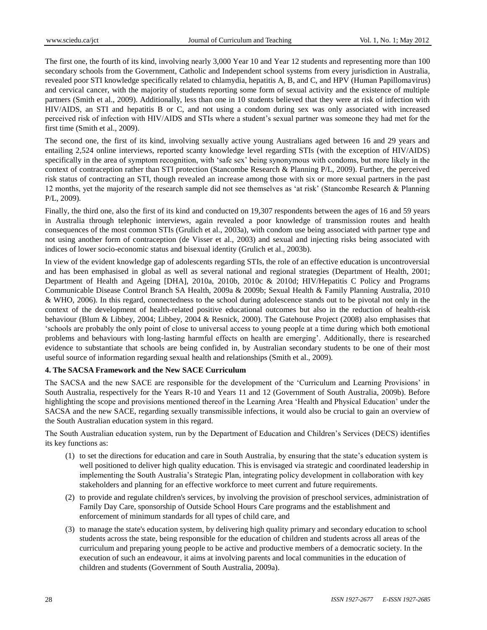The first one, the fourth of its kind, involving nearly 3,000 Year 10 and Year 12 students and representing more than 100 secondary schools from the Government, Catholic and Independent school systems from every jurisdiction in Australia, revealed poor STI knowledge specifically related to chlamydia, hepatitis A, B, and C, and HPV (Human Papillomavirus) and cervical cancer, with the majority of students reporting some form of sexual activity and the existence of multiple partners (Smith et al., 2009). Additionally, less than one in 10 students believed that they were at risk of infection with HIV/AIDS, an STI and hepatitis B or C, and not using a condom during sex was only associated with increased perceived risk of infection with HIV/AIDS and STIs where a student"s sexual partner was someone they had met for the first time (Smith et al., 2009).

The second one, the first of its kind, involving sexually active young Australians aged between 16 and 29 years and entailing 2,524 online interviews, reported scanty knowledge level regarding STIs (with the exception of HIV/AIDS) specifically in the area of symptom recognition, with "safe sex" being synonymous with condoms, but more likely in the context of contraception rather than STI protection (Stancombe Research & Planning P/L, 2009). Further, the perceived risk status of contracting an STI, though revealed an increase among those with six or more sexual partners in the past 12 months, yet the majority of the research sample did not see themselves as "at risk" (Stancombe Research & Planning P/L, 2009).

Finally, the third one, also the first of its kind and conducted on 19,307 respondents between the ages of 16 and 59 years in Australia through telephonic interviews, again revealed a poor knowledge of transmission routes and health consequences of the most common STIs (Grulich et al., 2003a), with condom use being associated with partner type and not using another form of contraception (de Visser et al., 2003) and sexual and injecting risks being associated with indices of lower socio-economic status and bisexual identity (Grulich et al., 2003b).

In view of the evident knowledge gap of adolescents regarding STIs, the role of an effective education is uncontroversial and has been emphasised in global as well as several national and regional strategies (Department of Health, 2001; Department of Health and Ageing [DHA], 2010a, 2010b, 2010c & 2010d; HIV/Hepatitis C Policy and Programs Communicable Disease Control Branch SA Health, 2009a & 2009b; Sexual Health & Family Planning Australia, 2010 & WHO, 2006). In this regard, connectedness to the school during adolescence stands out to be pivotal not only in the context of the development of health-related positive educational outcomes but also in the reduction of health-risk behaviour (Blum & Libbey, 2004; Libbey, 2004 & Resnick, 2000). The Gatehouse Project (2008) also emphasises that "schools are probably the only point of close to universal access to young people at a time during which both emotional problems and behaviours with long-lasting harmful effects on health are emerging". Additionally, there is researched evidence to substantiate that schools are being confided in, by Australian secondary students to be one of their most useful source of information regarding sexual health and relationships (Smith et al., 2009).

#### **4. The SACSA Framework and the New SACE Curriculum**

The SACSA and the new SACE are responsible for the development of the "Curriculum and Learning Provisions" in South Australia, respectively for the Years R-10 and Years 11 and 12 (Government of South Australia, 2009b). Before highlighting the scope and provisions mentioned thereof in the Learning Area "Health and Physical Education" under the SACSA and the new SACE, regarding sexually transmissible infections, it would also be crucial to gain an overview of the South Australian education system in this regard.

The South Australian education system, run by the Department of Education and Children"s Services (DECS) identifies its key functions as:

- (1) to set the directions for education and care in South Australia, by ensuring that the state"s education system is well positioned to deliver high quality education. This is envisaged via strategic and coordinated leadership in implementing the South Australia"s Strategic Plan, integrating policy development in collaboration with key stakeholders and planning for an effective workforce to meet current and future requirements.
- (2) to provide and regulate children's services, by involving the provision of preschool services, administration of Family Day Care, sponsorship of Outside School Hours Care programs and the establishment and enforcement of minimum standards for all types of child care, and
- (3) to manage the state's education system, by delivering high quality primary and secondary education to school students across the state, being responsible for the education of children and students across all areas of the curriculum and preparing young people to be active and productive members of a democratic society. In the execution of such an endeavour, it aims at involving parents and local communities in the education of children and students (Government of South Australia, 2009a).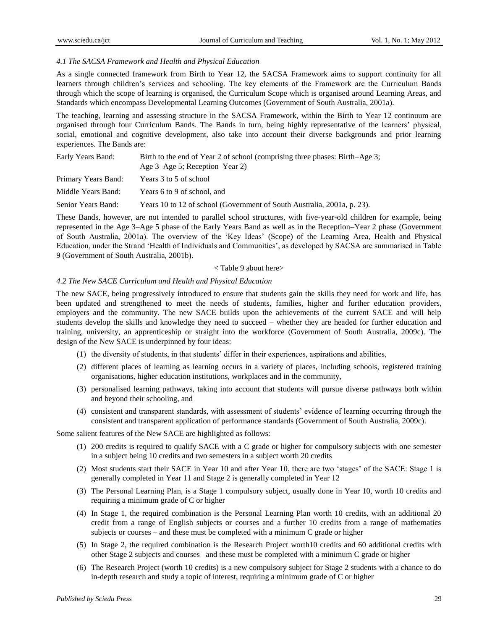#### *4.1 The SACSA Framework and Health and Physical Education*

As a single connected framework from Birth to Year 12, the SACSA Framework aims to support continuity for all learners through children"s services and schooling. The key elements of the Framework are the Curriculum Bands through which the scope of learning is organised, the Curriculum Scope which is organised around Learning Areas, and Standards which encompass Developmental Learning Outcomes (Government of South Australia, 2001a).

The teaching, learning and assessing structure in the SACSA Framework, within the Birth to Year 12 continuum are organised through four Curriculum Bands. The Bands in turn, being highly representative of the learners" physical, social, emotional and cognitive development, also take into account their diverse backgrounds and prior learning experiences. The Bands are:

| Early Years Band:   | Birth to the end of Year 2 of school (comprising three phases: Birth–Age 3; |
|---------------------|-----------------------------------------------------------------------------|
|                     | Age 3–Age 5; Reception–Year 2)                                              |
| Primary Years Band: | Years 3 to 5 of school                                                      |
| Middle Years Band:  | Years 6 to 9 of school, and                                                 |
| Senior Years Band:  | Years 10 to 12 of school (Government of South Australia, 2001a, p. 23).     |

These Bands, however, are not intended to parallel school structures, with five-year-old children for example, being represented in the Age 3–Age 5 phase of the Early Years Band as well as in the Reception–Year 2 phase (Government of South Australia, 2001a). The overview of the "Key Ideas" (Scope) of the Learning Area, Health and Physical Education, under the Strand "Health of Individuals and Communities", as developed by SACSA are summarised in Table 9 (Government of South Australia, 2001b).

#### < Table 9 about here>

### *4.2 The New SACE Curriculum and Health and Physical Education*

The new SACE, being progressively introduced to ensure that students gain the skills they need for work and life, has been updated and strengthened to meet the needs of students, families, higher and further education providers, employers and the community. The new SACE builds upon the achievements of the current SACE and will help students develop the skills and knowledge they need to succeed – whether they are headed for further education and training, university, an apprenticeship or straight into the workforce (Government of South Australia, 2009c). The design of the New SACE is underpinned by four ideas:

- (1) the diversity of students, in that students" differ in their experiences, aspirations and abilities,
- (2) different places of learning as learning occurs in a variety of places, including schools, registered training organisations, higher education institutions, workplaces and in the community,
- (3) personalised learning pathways, taking into account that students will pursue diverse pathways both within and beyond their schooling, and
- (4) consistent and transparent standards, with assessment of students" evidence of learning occurring through the consistent and transparent application of performance standards (Government of South Australia, 2009c).

Some salient features of the New SACE are highlighted as follows:

- (1) 200 credits is required to qualify SACE with a C grade or higher for compulsory subjects with one semester in a subject being 10 credits and two semesters in a subject worth 20 credits
- (2) Most students start their SACE in Year 10 and after Year 10, there are two "stages" of the SACE: Stage 1 is generally completed in Year 11 and Stage 2 is generally completed in Year 12
- (3) The Personal Learning Plan, is a Stage 1 compulsory subject, usually done in Year 10, worth 10 credits and requiring a minimum grade of C or higher
- (4) In Stage 1, the required combination is the Personal Learning Plan worth 10 credits, with an additional 20 credit from a range of English subjects or courses and a further 10 credits from a range of mathematics subjects or courses – and these must be completed with a minimum C grade or higher
- (5) In Stage 2, the required combination is the Research Project worth10 credits and 60 additional credits with other Stage 2 subjects and courses– and these must be completed with a minimum C grade or higher
- (6) The Research Project (worth 10 credits) is a new compulsory subject for Stage 2 students with a chance to do in-depth research and study a topic of interest, requiring a minimum grade of C or higher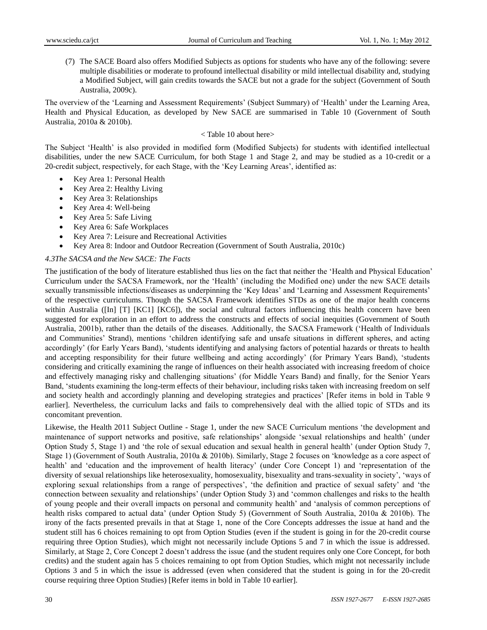(7) The SACE Board also offers Modified Subjects as options for students who have any of the following: severe multiple disabilities or moderate to profound intellectual disability or mild intellectual disability and, studying a Modified Subject, will gain credits towards the SACE but not a grade for the subject (Government of South Australia, 2009c).

The overview of the "Learning and Assessment Requirements" (Subject Summary) of "Health" under the Learning Area, Health and Physical Education, as developed by New SACE are summarised in Table 10 (Government of South Australia, 2010a & 2010b).

#### < Table 10 about here>

The Subject "Health" is also provided in modified form (Modified Subjects) for students with identified intellectual disabilities, under the new SACE Curriculum, for both Stage 1 and Stage 2, and may be studied as a 10-credit or a 20-credit subject, respectively, for each Stage, with the 'Key Learning Areas', identified as:

- Key Area 1: Personal Health
- Key Area 2: Healthy Living
- Key Area 3: Relationships
- Key Area 4: Well-being
- Key Area 5: Safe Living
- Key Area 6: Safe Workplaces
- Key Area 7: Leisure and Recreational Activities
- Key Area 8: Indoor and Outdoor Recreation (Government of South Australia, 2010c)

#### *4.3The SACSA and the New SACE: The Facts*

The justification of the body of literature established thus lies on the fact that neither the "Health and Physical Education" Curriculum under the SACSA Framework, nor the "Health" (including the Modified one) under the new SACE details sexually transmissible infections/diseases as underpinning the 'Key Ideas' and 'Learning and Assessment Requirements' of the respective curriculums. Though the SACSA Framework identifies STDs as one of the major health concerns within Australia ([In] [T] [KC1] [KC6]), the social and cultural factors influencing this health concern have been suggested for exploration in an effort to address the constructs and effects of social inequities (Government of South Australia, 2001b), rather than the details of the diseases. Additionally, the SACSA Framework ("Health of Individuals and Communities" Strand), mentions "children identifying safe and unsafe situations in different spheres, and acting accordingly" (for Early Years Band), "students identifying and analysing factors of potential hazards or threats to health and accepting responsibility for their future wellbeing and acting accordingly" (for Primary Years Band), "students considering and critically examining the range of influences on their health associated with increasing freedom of choice and effectively managing risky and challenging situations" (for Middle Years Band) and finally, for the Senior Years Band, "students examining the long-term effects of their behaviour, including risks taken with increasing freedom on self and society health and accordingly planning and developing strategies and practices" [Refer items in bold in Table 9 earlier]. Nevertheless, the curriculum lacks and fails to comprehensively deal with the allied topic of STDs and its concomitant prevention.

Likewise, the Health 2011 Subject Outline - Stage 1, under the new SACE Curriculum mentions "the development and maintenance of support networks and positive, safe relationships" alongside "sexual relationships and health" (under Option Study 5, Stage 1) and "the role of sexual education and sexual health in general health" (under Option Study 7, Stage 1) (Government of South Australia, 2010a & 2010b). Similarly, Stage 2 focuses on "knowledge as a core aspect of health' and 'education and the improvement of health literacy' (under Core Concept 1) and 'representation of the diversity of sexual relationships like heterosexuality, homosexuality, bisexuality and trans-sexuality in society", "ways of exploring sexual relationships from a range of perspectives', 'the definition and practice of sexual safety' and 'the connection between sexuality and relationships" (under Option Study 3) and "common challenges and risks to the health of young people and their overall impacts on personal and community health" and "analysis of common perceptions of health risks compared to actual data' (under Option Study 5) (Government of South Australia, 2010a & 2010b). The irony of the facts presented prevails in that at Stage 1, none of the Core Concepts addresses the issue at hand and the student still has 6 choices remaining to opt from Option Studies (even if the student is going in for the 20-credit course requiring three Option Studies), which might not necessarily include Options 5 and 7 in which the issue is addressed. Similarly, at Stage 2, Core Concept 2 doesn"t address the issue (and the student requires only one Core Concept, for both credits) and the student again has 5 choices remaining to opt from Option Studies, which might not necessarily include Options 3 and 5 in which the issue is addressed (even when considered that the student is going in for the 20-credit course requiring three Option Studies) [Refer items in bold in Table 10 earlier].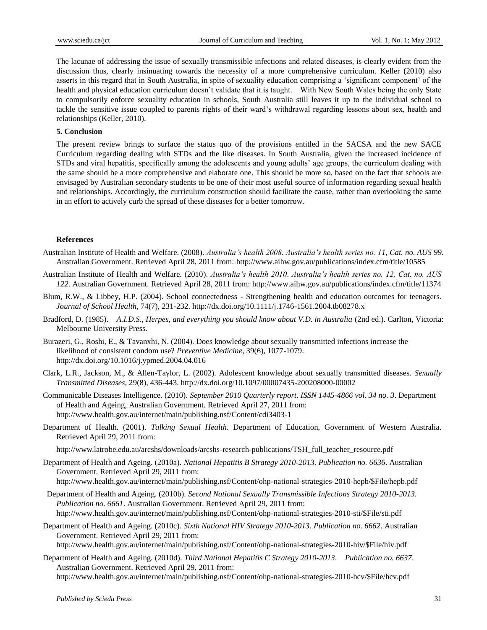The lacunae of addressing the issue of sexually transmissible infections and related diseases, is clearly evident from the discussion thus, clearly insinuating towards the necessity of a more comprehensive curriculum. Keller (2010) also asserts in this regard that in South Australia, in spite of sexuality education comprising a "significant component" of the health and physical education curriculum doesn"t validate that it is taught. With New South Wales being the only State to compulsorily enforce sexuality education in schools, South Australia still leaves it up to the individual school to tackle the sensitive issue coupled to parents rights of their ward"s withdrawal regarding lessons about sex, health and relationships (Keller, 2010).

#### **5. Conclusion**

The present review brings to surface the status quo of the provisions entitled in the SACSA and the new SACE Curriculum regarding dealing with STDs and the like diseases. In South Australia, given the increased incidence of STDs and viral hepatitis, specifically among the adolescents and young adults" age groups, the curriculum dealing with the same should be a more comprehensive and elaborate one. This should be more so, based on the fact that schools are envisaged by Australian secondary students to be one of their most useful source of information regarding sexual health and relationships. Accordingly, the curriculum construction should facilitate the cause, rather than overlooking the same in an effort to actively curb the spread of these diseases for a better tomorrow.

#### **References**

Australian Institute of Health and Welfare. (2008). *Australia's health 2008*. *Australia's health series no. 11, Cat. no. AUS 99*. Australian Government. Retrieved April 28, 2011 from:<http://www.aihw.gov.au/publications/index.cfm/title/10585>

- Australian Institute of Health and Welfare. (2010). *Australia's health 2010*. *Australia's health series no. 12, Cat. no. AUS 122*. Australian Government. Retrieved April 28, 2011 from:<http://www.aihw.gov.au/publications/index.cfm/title/11374>
- Blum, R.W., & Libbey, H.P. (2004). School connectedness Strengthening health and education outcomes for teenagers. *Journal of School Health*, 74(7), 231-232[. http://dx.doi.org/10.1111/j.1746-1561.2004.tb08278.x](http://dx.doi.org/10.1111/j.1746-1561.2004.tb08278.x)
- Bradford, D. (1985). *A.I.D.S., Herpes, and everything you should know about V.D. in Australia* (2nd ed.). Carlton, Victoria: Melbourne University Press.
- Burazeri, G., Roshi, E., & Tavanxhi, N. (2004). Does knowledge about sexually transmitted infections increase the likelihood of consistent condom use? *Preventive Medicine*, 39(6), 1077-1079. <http://dx.doi.org/10.1016/j.ypmed.2004.04.016>
- Clark, L.R., Jackson, M., & Allen-Taylor, L. (2002). Adolescent knowledge about sexually transmitted diseases. *Sexually Transmitted Diseases*, 29(8), 436-443.<http://dx.doi.org/10.1097/00007435-200208000-00002>
- Communicable Diseases Intelligence. (2010). *September 2010 Quarterly report*. *ISSN 1445-4866 vol. 34 no. 3*. Department of Health and Ageing, Australian Government. Retrieved April 27, 2011 from: <http://www.health.gov.au/internet/main/publishing.nsf/Content/cdi3403-1>
- Department of Health. (2001). *Talking Sexual Health*. Department of Education, Government of Western Australia. Retrieved April 29, 2011 from:

[http://www.latrobe.edu.au/arcshs/downloads/arcshs-research-publications/TSH\\_full\\_teacher\\_resource.pdf](http://www.latrobe.edu.au/arcshs/downloads/arcshs-research-publications/TSH_full_teacher_resource.pdf)

- Department of Health and Ageing. (2010a). *National Hepatitis B Strategy 2010-2013. Publication no. 6636*. Australian Government. Retrieved April 29, 2011 from:
	- [http://www.health.gov.au/internet/main/publishing.nsf/Content/ohp-national-strategies-2010-hepb/\\$File/hepb.pdf](http://www.health.gov.au/internet/main/publishing.nsf/Content/ohp-national-strategies-2010-hepb/$File/hepb.pdf)
- Department of Health and Ageing. (2010b). *Second National Sexually Transmissible Infections Strategy 2010-2013*. *Publication no. 6661*. Australian Government. Retrieved April 29, 2011 from: [http://www.health.gov.au/internet/main/publishing.nsf/Content/ohp-national-strategies-2010-sti/\\$File/sti.pdf](http://www.health.gov.au/internet/main/publishing.nsf/Content/ohp-national-strategies-2010-sti/$File/sti.pdf)
- Department of Health and Ageing. (2010c). *Sixth National HIV Strategy 2010-2013*. *Publication no. 6662*. Australian Government. Retrieved April 29, 2011 from:

[http://www.health.gov.au/internet/main/publishing.nsf/Content/ohp-national-strategies-2010-hiv/\\$File/hiv.pdf](http://www.health.gov.au/internet/main/publishing.nsf/Content/ohp-national-strategies-2010-hiv/$File/hiv.pdf)

Department of Health and Ageing. (2010d). *Third National Hepatitis C Strategy 2010-2013*. *Publication no. 6637*. Australian Government. Retrieved April 29, 2011 from:

[http://www.health.gov.au/internet/main/publishing.nsf/Content/ohp-national-strategies-2010-hcv/\\$File/hcv.pdf](http://www.health.gov.au/internet/main/publishing.nsf/Content/ohp-national-strategies-2010-hcv/$File/hcv.pdf)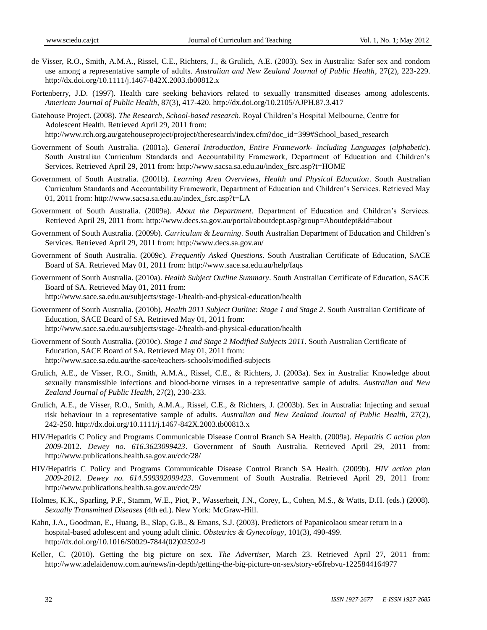- de Visser, R.O., Smith, A.M.A., Rissel, C.E., [Richters, J.](http://www.ncbi.nlm.nih.gov/pubmed?term=%22Richters%20J%22%5BAuthor%5D), & Grulich, A.E. (2003). Sex in Australia: Safer sex and condom use among a representative sample of adults. *Australian and New Zealand Journal of Public Health*, 27(2), 223-229. <http://dx.doi.org/10.1111/j.1467-842X.2003.tb00812.x>
- Fortenberry, J.D. (1997). Health care seeking behaviors related to sexually transmitted diseases among adolescents. *American Journal of Public Health*, 87(3), 417-420.<http://dx.doi.org/10.2105/AJPH.87.3.417>
- Gatehouse Project. (2008). *The Research, School-based research*. Royal Children"s Hospital Melbourne, Centre for Adolescent Health. Retrieved April 29, 2011 from: [http://www.rch.org.au/gatehouseproject/project/theresearch/index.cfm?doc\\_id=399#School\\_based\\_research](http://www.rch.org.au/gatehouseproject/project/theresearch/index.cfm?doc_id=399#School_based_research)
- Government of South Australia. (2001a). *General Introduction*, *Entire Framework- Including Languages* (*alphabetic*). South Australian Curriculum Standards and Accountability Framework, Department of Education and Children"s Services. Retrieved April 29, 2011 from: [http://www.sacsa.sa.edu.au/index\\_fsrc.asp?t=HOME](http://www.sacsa.sa.edu.au/index_fsrc.asp?t=HOME)
- Government of South Australia. (2001b). *Learning Area Overviews, Health and Physical Education*. South Australian Curriculum Standards and Accountability Framework, Department of Education and Children"s Services. Retrieved May 01, 2011 from: [http://www.sacsa.sa.edu.au/index\\_fsrc.asp?t=LA](http://www.sacsa.sa.edu.au/index_fsrc.asp?t=LA)
- Government of South Australia. (2009a). *About the Department*. Department of Education and Children"s Services. Retrieved April 29, 2011 from:<http://www.decs.sa.gov.au/portal/aboutdept.asp?group=Aboutdept&id=about>
- Government of South Australia. (2009b). *Curriculum & Learning*. South Australian Department of Education and Children"s Services. Retrieved April 29, 2011 from:<http://www.decs.sa.gov.au/>
- Government of South Australia. (2009c). *Frequently Asked Questions*. South Australian Certificate of Education, SACE Board of SA. Retrieved May 01, 2011 from:<http://www.sace.sa.edu.au/help/faqs>
- Government of South Australia. (2010a). *Health Subject Outline Summary*. South Australian Certificate of Education, SACE Board of SA. Retrieved May 01, 2011 from: <http://www.sace.sa.edu.au/subjects/stage-1/health-and-physical-education/health>
- Government of South Australia. (2010b). *Health 2011 Subject Outline: Stage 1 and Stage 2*. South Australian Certificate of Education, SACE Board of SA. Retrieved May 01, 2011 from: <http://www.sace.sa.edu.au/subjects/stage-2/health-and-physical-education/health>
- Government of South Australia. (2010c). *Stage 1 and Stage 2 Modified Subjects 2011*. South Australian Certificate of Education, SACE Board of SA. Retrieved May 01, 2011 from: <http://www.sace.sa.edu.au/the-sace/teachers-schools/modified-subjects>
- Grulich, A.E., de Visser, R.O., Smith, A.M.A., Rissel, C.E., & Richters, J. (2003a). Sex in Australia: Knowledge about sexually transmissible infections and blood-borne viruses in a representative sample of adults. *Australian and New Zealand Journal of Public Health*, 27(2), 230-233.
- Grulich, A.E., de Visser, R.O., Smith, A.M.A., Rissel, C.E., & Richters, J. (2003b). Sex in Australia: Injecting and sexual risk behaviour in a representative sample of adults. *Australian and New Zealand Journal of Public Health*, 27(2), 242-250.<http://dx.doi.org/10.1111/j.1467-842X.2003.tb00813.x>
- HIV/Hepatitis C Policy and Programs Communicable Disease Control Branch SA Health. (2009a). *Hepatitis C action plan 2009-*2012. *Dewey no. 616.3623099423*. Government of South Australia. Retrieved April 29, 2011 from: <http://www.publications.health.sa.gov.au/cdc/28/>
- HIV/Hepatitis C Policy and Programs Communicable Disease Control Branch SA Health. (2009b). *HIV action plan 2009-2012. Dewey no. 614.599392099423*. Government of South Australia. Retrieved April 29, 2011 from: <http://www.publications.health.sa.gov.au/cdc/29/>
- Holmes, K.K., Sparling, P.F., Stamm, W.E., Piot, P., Wasserheit, J.N., Corey, L., Cohen, M.S., & Watts, D.H. (eds.) (2008). *Sexually Transmitted Diseases* (4th ed.). New York: McGraw-Hill.
- Kahn, J.A., Goodman, E., Huang, B., Slap, G.B., & Emans, S.J. (2003). Predictors of Papanicolaou smear return in a hospital-based adolescent and young adult clinic. *Obstetrics & Gynecology*, 101(3), 490-499. [http://dx.doi.org/10.1016/S0029-7844\(02\)02592-9](http://dx.doi.org/10.1016/S0029-7844(02)02592-9)
- Keller, C. (2010). Getting the big picture on sex. *The Advertiser*, March 23. Retrieved April 27, 2011 from: <http://www.adelaidenow.com.au/news/in-depth/getting-the-big-picture-on-sex/story-e6frebvu-1225844164977>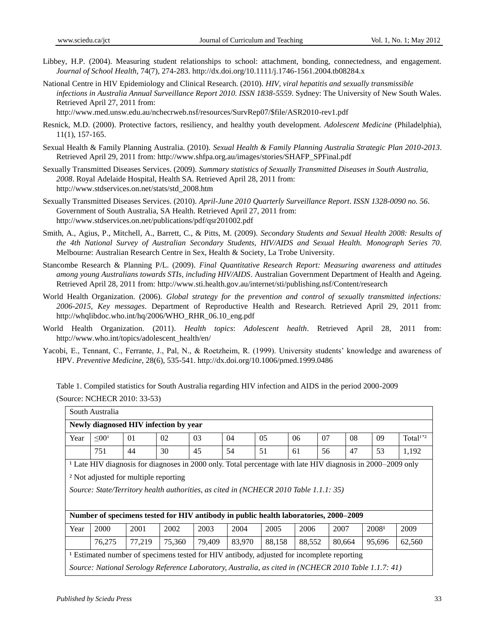- Libbey, H.P. (2004). Measuring student relationships to school: attachment, bonding, connectedness, and engagement. *Journal of School Health*, 74(7), 274-283[. http://dx.doi.org/10.1111/j.1746-1561.2004.tb08284.x](http://dx.doi.org/10.1111/j.1746-1561.2004.tb08284.x)
- National Centre in HIV Epidemiology and Clinical Research. (2010). *HIV, viral hepatitis and sexually transmissible infections in Australia Annual Surveillance Report 2010. ISSN 1838-5559*. Sydney: The University of New South Wales. Retrieved April 27, 2011 from:

[http://www.med.unsw.edu.au/nchecrweb.nsf/resources/SurvRep07/\\$file/ASR2010-rev1.pdf](http://www.med.unsw.edu.au/nchecrweb.nsf/resources/SurvRep07/$file/ASR2010-rev1.pdf)

- Resnick, M.D. (2000). Protective factors, resiliency, and healthy youth development*. Adolescent Medicine* (Philadelphia), 11(1), 157-165.
- Sexual Health & Family Planning Australia. (2010). *Sexual Health & Family Planning Australia Strategic Plan 2010-2013*. Retrieved April 29, 2011 from: [http://www.shfpa.org.au/images/stories/SHAFP\\_SPFinal.pdf](http://www.shfpa.org.au/images/stories/SHAFP_SPFinal.pdf)
- Sexually Transmitted Diseases Services. (2009). *Summary statistics of Sexually Transmitted Diseases in South Australia, 2008*. Royal Adelaide Hospital, Health SA. Retrieved April 28, 2011 from: [http://www.stdservices.on.net/stats/std\\_2008.htm](http://www.stdservices.on.net/stats/std_2008.htm)
- Sexually Transmitted Diseases Services. (2010). *April-June 2010 Quarterly Surveillance Report*. *ISSN 1328-0090 no. 56*. Government of South Australia, SA Health. Retrieved April 27, 2011 from: <http://www.stdservices.on.net/publications/pdf/qsr201002.pdf>
- Smith, A., Agius, P., Mitchell, A., Barrett, C., & Pitts, M. (2009). *Secondary Students and Sexual Health 2008: Results of the 4th National Survey of Australian Secondary Students, HIV/AIDS and Sexual Health. Monograph Series 70*. Melbourne: Australian Research Centre in Sex, Health & Society, La Trobe University.
- Stancombe Research & Planning P/L. (2009). *Final Quantitative Research Report: Measuring awareness and attitudes among young Australians towards STIs, including HIV/AIDS*. Australian Government Department of Health and Ageing. Retrieved April 28, 2011 from: <http://www.sti.health.gov.au/internet/sti/publishing.nsf/Content/research>
- World Health Organization. (2006). *Global strategy for the prevention and control of sexually transmitted infections: 2006-2015, Key messages*. Department of Reproductive Health and Research. Retrieved April 29, 2011 from: [http://whqlibdoc.who.int/hq/2006/WHO\\_RHR\\_06.10\\_eng.pdf](http://whqlibdoc.who.int/hq/2006/WHO_RHR_06.10_eng.pdf)
- World Health Organization. (2011). *Health topics*: *Adolescent health*. Retrieved April 28, 2011 from: [http://www.who.int/topics/adolescent\\_health/en/](http://www.who.int/topics/adolescent_health/en/)
- Yacobi, E., Tennant, C., Ferrante, J., Pal, N., & Roetzheim, R. (1999). University students" knowledge and awareness of HPV. *Preventive Medicine*, 28(6), 535-541.<http://dx.doi.org/10.1006/pmed.1999.0486>

Table 1. Compiled statistics for South Australia regarding HIV infection and AIDS in the period 2000-2009 (Source: NCHECR 2010: 33-53)

| South Australia                                                                                       |                                                                                                                        |      |      |      |      |                |      |      |    |                   |                       |
|-------------------------------------------------------------------------------------------------------|------------------------------------------------------------------------------------------------------------------------|------|------|------|------|----------------|------|------|----|-------------------|-----------------------|
| Newly diagnosed HIV infection by year                                                                 |                                                                                                                        |      |      |      |      |                |      |      |    |                   |                       |
| Year                                                                                                  | $\leq 00^{1}$                                                                                                          | 01   | 02   | 03   | 04   | 0 <sub>5</sub> | 06   | 07   | 08 | 09                | $Total1$ <sup>2</sup> |
|                                                                                                       | 751                                                                                                                    | 44   | 30   | 45   | 54   | 51             | 61   | 56   | 47 | 53                | 1,192                 |
|                                                                                                       | <sup>1</sup> Late HIV diagnosis for diagnoses in 2000 only. Total percentage with late HIV diagnosis in 2000–2009 only |      |      |      |      |                |      |      |    |                   |                       |
|                                                                                                       | <sup>2</sup> Not adjusted for multiple reporting                                                                       |      |      |      |      |                |      |      |    |                   |                       |
|                                                                                                       | Source: State/Territory health authorities, as cited in (NCHECR 2010 Table 1.1.1: 35)                                  |      |      |      |      |                |      |      |    |                   |                       |
|                                                                                                       |                                                                                                                        |      |      |      |      |                |      |      |    |                   |                       |
|                                                                                                       | Number of specimens tested for HIV antibody in public health laboratories, 2000–2009                                   |      |      |      |      |                |      |      |    |                   |                       |
| Year                                                                                                  | 2000                                                                                                                   | 2001 | 2002 | 2003 | 2004 | 2005           | 2006 | 2007 |    | 2008 <sup>1</sup> | 2009                  |
| 75,360<br>88,158<br>76,275<br>77.219<br>79,409<br>83,970<br>88,552<br>80,664<br>95.696<br>62,560      |                                                                                                                        |      |      |      |      |                |      |      |    |                   |                       |
| <sup>1</sup> Estimated number of specimens tested for HIV antibody, adjusted for incomplete reporting |                                                                                                                        |      |      |      |      |                |      |      |    |                   |                       |
|                                                                                                       | Source: National Serology Reference Laboratory, Australia, as cited in (NCHECR 2010 Table 1.1.7: 41)                   |      |      |      |      |                |      |      |    |                   |                       |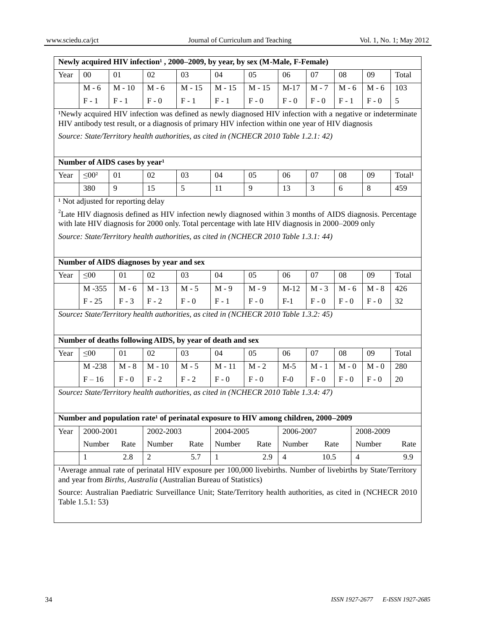| www.sciedu.ca/jct                                                                                             |                                           |          |                                                |                                                                   |              | Journal of Curriculum and Teaching                                                                                                                                                                                                                                                                        |                |         |                | Vol. 1, No. 1; May 2012 |                    |
|---------------------------------------------------------------------------------------------------------------|-------------------------------------------|----------|------------------------------------------------|-------------------------------------------------------------------|--------------|-----------------------------------------------------------------------------------------------------------------------------------------------------------------------------------------------------------------------------------------------------------------------------------------------------------|----------------|---------|----------------|-------------------------|--------------------|
|                                                                                                               |                                           |          |                                                |                                                                   |              | Newly acquired HIV infection <sup>1</sup> , 2000–2009, by year, by sex (M-Male, F-Female)                                                                                                                                                                                                                 |                |         |                |                         |                    |
| Year                                                                                                          | $00\,$                                    | 01       | 02                                             | 03                                                                | 04           | 05                                                                                                                                                                                                                                                                                                        | 06             | 07      | 08             | 09                      | Total              |
|                                                                                                               | $M - 6$                                   | $M - 10$ | $M - 6$                                        | $M - 15$                                                          | $M - 15$     | $M - 15$                                                                                                                                                                                                                                                                                                  | $M-17$         | $M - 7$ | $M - 6$        | $M - 6$                 | 103                |
|                                                                                                               | $F - 1$                                   | $F - 1$  | $F - 0$                                        | $F - 1$                                                           | $F - 1$      | $F - 0$                                                                                                                                                                                                                                                                                                   | $F - 0$        | $F - 0$ | $F - 1$        | $F - 0$                 | 5                  |
|                                                                                                               |                                           |          |                                                |                                                                   |              | Newly acquired HIV infection was defined as newly diagnosed HIV infection with a negative or indeterminate<br>HIV antibody test result, or a diagnosis of primary HIV infection within one year of HIV diagnosis<br>Source: State/Territory health authorities, as cited in (NCHECR 2010 Table 1.2.1: 42) |                |         |                |                         |                    |
|                                                                                                               | Number of AIDS cases by year <sup>1</sup> |          |                                                |                                                                   |              |                                                                                                                                                                                                                                                                                                           |                |         |                |                         |                    |
| Year                                                                                                          | $\leq 00^2$                               | 01       | 02                                             | 03                                                                | 04           | 05                                                                                                                                                                                                                                                                                                        | 06             | 07      | 08             | 09                      | Total <sup>1</sup> |
|                                                                                                               | 380                                       | 9        | 15                                             | 5                                                                 | 11           | 9                                                                                                                                                                                                                                                                                                         | 13             | 3       | 6              | 8                       | 459                |
| Year                                                                                                          | $\leq 00$                                 | 01       | Number of AIDS diagnoses by year and sex<br>02 | 03                                                                | 04           | 05                                                                                                                                                                                                                                                                                                        | 06             | 07      | 08             | 09                      | Total              |
|                                                                                                               |                                           |          |                                                |                                                                   |              |                                                                                                                                                                                                                                                                                                           |                |         |                |                         |                    |
|                                                                                                               | M-355                                     | $M - 6$  | $M - 13$                                       | $M - 5$                                                           | $M - 9$      | $M - 9$                                                                                                                                                                                                                                                                                                   | $M-12$         | $M - 3$ | $M - 6$        | $M - 8$                 | 426                |
|                                                                                                               | $F - 25$                                  | $F - 3$  | $F - 2$                                        | $F - 0$                                                           | $F - 1$      | $F - 0$                                                                                                                                                                                                                                                                                                   | $F-1$          | $F - 0$ | $F - 0$        | $F - 0$                 | 32                 |
| Year                                                                                                          | $\leq 00$                                 | 01       | 02                                             | Number of deaths following AIDS, by year of death and sex<br>03   | 04           | Source: State/Territory health authorities, as cited in (NCHECR 2010 Table 1.3.2: 45)<br>05                                                                                                                                                                                                               | 06             | 07      | 08             | 09                      | Total              |
|                                                                                                               | $M - 238$                                 | $M - 8$  | $M - 10$                                       | $M - 5$                                                           | $M - 11$     | $M - 2$                                                                                                                                                                                                                                                                                                   | $M-5$          | $M - 1$ | $M - 0$        | $M - 0$                 | 280                |
|                                                                                                               | $F-16$                                    | $F - 0$  | $F - 2$                                        | $F - 2$                                                           | $F - 0$      | $F - 0$<br>Source: State/Territory health authorities, as cited in (NCHECR 2010 Table 1.3.4: 47)<br>Number and population rate <sup>1</sup> of perinatal exposure to HIV among children, 2000–2009                                                                                                        | $F-0$          | $F - 0$ | $F - 0$        | $F - 0$                 | 20                 |
| Year                                                                                                          | 2000-2001                                 |          | 2002-2003                                      |                                                                   | 2004-2005    |                                                                                                                                                                                                                                                                                                           | 2006-2007      |         |                | 2008-2009               |                    |
|                                                                                                               | Number                                    | Rate     | Number                                         | Rate                                                              | Number       | Rate                                                                                                                                                                                                                                                                                                      | Number         | Rate    |                | Number                  | Rate               |
|                                                                                                               | $\mathbf{1}$                              | 2.8      | $\overline{2}$                                 | 5.7                                                               | $\mathbf{1}$ | 2.9                                                                                                                                                                                                                                                                                                       | $\overline{4}$ | 10.5    | $\overline{4}$ |                         | 9.9                |
| Source: Australian Paediatric Surveillance Unit; State/Territory health authorities, as cited in (NCHECR 2010 |                                           |          |                                                | and year from Births, Australia (Australian Bureau of Statistics) |              | Average annual rate of perinatal HIV exposure per 100,000 livebirths. Number of livebirths by State/Territory                                                                                                                                                                                             |                |         |                |                         |                    |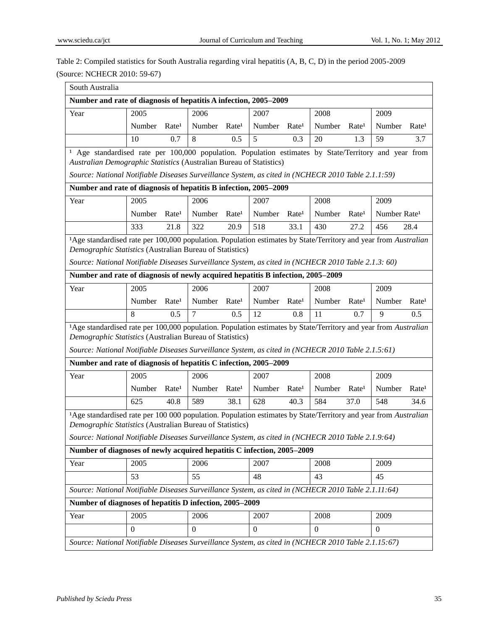# Table 2: Compiled statistics for South Australia regarding viral hepatitis (A, B, C, D) in the period 2005-2009

|                                                                                                                                                                                                                                                                                   | (Source: NCHECR 2010: 59-67) |                   |                          |                   |                          |                   |                          |                   |                          |                                                |
|-----------------------------------------------------------------------------------------------------------------------------------------------------------------------------------------------------------------------------------------------------------------------------------|------------------------------|-------------------|--------------------------|-------------------|--------------------------|-------------------|--------------------------|-------------------|--------------------------|------------------------------------------------|
| South Australia                                                                                                                                                                                                                                                                   |                              |                   |                          |                   |                          |                   |                          |                   |                          |                                                |
| Number and rate of diagnosis of hepatitis A infection, 2005-2009                                                                                                                                                                                                                  |                              |                   |                          |                   |                          |                   |                          |                   |                          |                                                |
| Year                                                                                                                                                                                                                                                                              | 2005                         |                   | 2006                     |                   | 2007                     |                   | 2008                     |                   | 2009                     |                                                |
|                                                                                                                                                                                                                                                                                   | Number                       | Rate <sup>1</sup> | Number                   | Rate <sup>1</sup> | Number                   | Rate <sup>1</sup> | Number                   | Rate <sup>1</sup> | Number                   | Rate <sup>1</sup>                              |
|                                                                                                                                                                                                                                                                                   | 10                           | 0.7               | 8                        | 0.5               | 5                        | 0.3               | 20                       | 1.3               | 59                       | 3.7                                            |
| <sup>1</sup> Age standardised rate per 100,000 population. Population estimates by State/Territory and year from<br>Australian Demographic Statistics (Australian Bureau of Statistics)                                                                                           |                              |                   |                          |                   |                          |                   |                          |                   |                          |                                                |
| Source: National Notifiable Diseases Surveillance System, as cited in (NCHECR 2010 Table 2.1.1:59)<br>Number and rate of diagnosis of hepatitis B infection, 2005-2009                                                                                                            |                              |                   |                          |                   |                          |                   |                          |                   |                          |                                                |
|                                                                                                                                                                                                                                                                                   |                              |                   | 2006                     |                   |                          |                   |                          |                   |                          |                                                |
| Year                                                                                                                                                                                                                                                                              | 2005                         |                   |                          |                   | 2007                     |                   | 2008                     |                   | 2009                     |                                                |
|                                                                                                                                                                                                                                                                                   | Number                       | Rate <sup>1</sup> | Number                   | Rate <sup>1</sup> | Number                   | Rate <sup>1</sup> | Number                   | Rate <sup>1</sup> | Number Rate <sup>1</sup> |                                                |
|                                                                                                                                                                                                                                                                                   | 333                          | 21.8              | 322                      | 20.9              | 518                      | 33.1              | 430                      | 27.2              | 456                      | 28.4                                           |
| Age standardised rate per 100,000 population. Population estimates by State/Territory and year from Australian<br>Demographic Statistics (Australian Bureau of Statistics)<br>Source: National Notifiable Diseases Surveillance System, as cited in (NCHECR 2010 Table 2.1.3: 60) |                              |                   |                          |                   |                          |                   |                          |                   |                          |                                                |
| Number and rate of diagnosis of newly acquired hepatitis B infection, 2005-2009                                                                                                                                                                                                   |                              |                   |                          |                   |                          |                   |                          |                   |                          |                                                |
| Year                                                                                                                                                                                                                                                                              | 2005                         |                   | 2006                     |                   | 2007                     |                   | 2008                     |                   | 2009                     |                                                |
|                                                                                                                                                                                                                                                                                   |                              |                   |                          |                   |                          |                   |                          |                   |                          |                                                |
|                                                                                                                                                                                                                                                                                   | Number                       | Rate <sup>1</sup> | Number Rate <sup>1</sup> |                   | Number Rate <sup>1</sup> |                   | Number Rate <sup>1</sup> |                   | Number                   |                                                |
|                                                                                                                                                                                                                                                                                   | 8                            | 0.5               | $\overline{7}$           | 0.5               | 12                       | 0.8               | 11                       | 0.7               | 9                        | 0.5                                            |
| Age standardised rate per 100,000 population. Population estimates by State/Territory and year from Australian                                                                                                                                                                    |                              |                   |                          |                   |                          |                   |                          |                   |                          |                                                |
| Source: National Notifiable Diseases Surveillance System, as cited in (NCHECR 2010 Table 2.1.5:61)                                                                                                                                                                                |                              |                   |                          |                   |                          |                   |                          |                   |                          |                                                |
|                                                                                                                                                                                                                                                                                   | 2005                         |                   | 2006                     |                   | 2007                     |                   | 2008                     |                   | 2009                     |                                                |
|                                                                                                                                                                                                                                                                                   | Number                       | Rate <sup>1</sup> | Number                   | Rate <sup>1</sup> | Number                   | Rate <sup>1</sup> | Number                   | Rate <sup>1</sup> | Number                   |                                                |
| Demographic Statistics (Australian Bureau of Statistics)<br>Number and rate of diagnosis of hepatitis C infection, 2005-2009<br>Year                                                                                                                                              | 625                          | 40.8              | 589                      | 38.1              | 628                      | 40.3              | 584                      | 37.0              | 548                      |                                                |
| Age standardised rate per 100 000 population. Population estimates by State/Territory and year from Australian<br>Demographic Statistics (Australian Bureau of Statistics)<br>Source: National Notifiable Diseases Surveillance System, as cited in (NCHECR 2010 Table 2.1.9:64)  |                              |                   |                          |                   |                          |                   |                          |                   |                          |                                                |
|                                                                                                                                                                                                                                                                                   |                              |                   |                          |                   |                          |                   |                          |                   |                          |                                                |
|                                                                                                                                                                                                                                                                                   | 2005                         |                   | 2006                     |                   | 2007                     |                   | 2008                     |                   | 2009                     |                                                |
| Number of diagnoses of newly acquired hepatitis C infection, 2005-2009<br>Year                                                                                                                                                                                                    | 53                           |                   | 55                       |                   | 48                       |                   | 43                       |                   | 45                       |                                                |
| Source: National Notifiable Diseases Surveillance System, as cited in (NCHECR 2010 Table 2.1.11:64)                                                                                                                                                                               |                              |                   |                          |                   |                          |                   |                          |                   |                          |                                                |
|                                                                                                                                                                                                                                                                                   |                              |                   |                          |                   |                          |                   |                          |                   |                          |                                                |
| Number of diagnoses of hepatitis D infection, 2005-2009<br>Year                                                                                                                                                                                                                   | 2005                         |                   | 2006                     |                   | 2007                     |                   | 2008                     |                   | 2009                     | Rate <sup>1</sup><br>Rate <sup>1</sup><br>34.6 |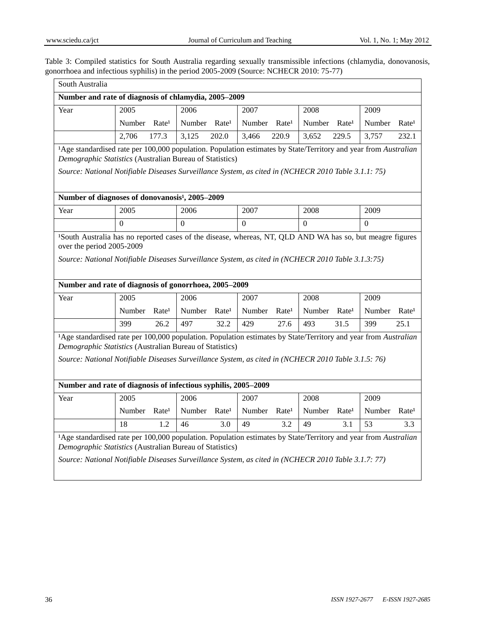Table 3: Compiled statistics for South Australia regarding sexually transmissible infections (chlamydia, donovanosis, gonorrhoea and infectious syphilis) in the period 2005-2009 (Source: NCHECR 2010: 75-77)

| South Australia                                                                                                                                                                                                                                                                   |                                                                                                                                                                                          |                   |          |                   |                          |                   |                          |                   |          |                   |
|-----------------------------------------------------------------------------------------------------------------------------------------------------------------------------------------------------------------------------------------------------------------------------------|------------------------------------------------------------------------------------------------------------------------------------------------------------------------------------------|-------------------|----------|-------------------|--------------------------|-------------------|--------------------------|-------------------|----------|-------------------|
| Number and rate of diagnosis of chlamydia, 2005-2009                                                                                                                                                                                                                              |                                                                                                                                                                                          |                   |          |                   |                          |                   |                          |                   |          |                   |
| Year                                                                                                                                                                                                                                                                              | 2005                                                                                                                                                                                     |                   | 2006     |                   | 2007                     |                   | 2008                     |                   | 2009     |                   |
|                                                                                                                                                                                                                                                                                   | Number Rate <sup>1</sup>                                                                                                                                                                 |                   | Number   | Rate <sup>1</sup> | Number Rate <sup>1</sup> |                   | Number Rate <sup>1</sup> |                   | Number   | Rate <sup>1</sup> |
|                                                                                                                                                                                                                                                                                   | 2,706                                                                                                                                                                                    | 177.3             | 3,125    | 202.0             | 3,466                    | 220.9             | 3,652                    | 229.5             | 3,757    | 232.1             |
| Age standardised rate per 100,000 population. Population estimates by State/Territory and year from Australian<br>Demographic Statistics (Australian Bureau of Statistics)                                                                                                        |                                                                                                                                                                                          |                   |          |                   |                          |                   |                          |                   |          |                   |
| Source: National Notifiable Diseases Surveillance System, as cited in (NCHECR 2010 Table 3.1.1: 75)                                                                                                                                                                               |                                                                                                                                                                                          |                   |          |                   |                          |                   |                          |                   |          |                   |
| Number of diagnoses of donovanosis 3, 2005-2009                                                                                                                                                                                                                                   |                                                                                                                                                                                          |                   |          |                   |                          |                   |                          |                   |          |                   |
| Year                                                                                                                                                                                                                                                                              | 2005                                                                                                                                                                                     |                   | 2006     |                   | 2007                     |                   | 2008                     |                   | 2009     |                   |
|                                                                                                                                                                                                                                                                                   | $\Omega$                                                                                                                                                                                 |                   | $\theta$ |                   | $\Omega$                 |                   | $\Omega$                 |                   | $\Omega$ |                   |
|                                                                                                                                                                                                                                                                                   | over the period 2005-2009<br>Source: National Notifiable Diseases Surveillance System, as cited in (NCHECR 2010 Table 3.1.3:75)<br>Number and rate of diagnosis of gonorrhoea, 2005-2009 |                   |          |                   |                          |                   |                          |                   |          |                   |
| Year                                                                                                                                                                                                                                                                              | 2005                                                                                                                                                                                     |                   | 2006     |                   | 2007                     |                   | 2008                     |                   | 2009     |                   |
|                                                                                                                                                                                                                                                                                   | Number                                                                                                                                                                                   | Rate <sup>1</sup> | Number   | Rate <sup>1</sup> | Number                   | Rate <sup>1</sup> | Number Rate <sup>1</sup> |                   | Number   | Rate <sup>1</sup> |
|                                                                                                                                                                                                                                                                                   | 399                                                                                                                                                                                      | 26.2              | 497      | 32.2              | 429                      | 27.6              | 493                      | 31.5              | 399      | 25.1              |
| Age standardised rate per 100,000 population. Population estimates by State/Territory and year from Australian<br>Demographic Statistics (Australian Bureau of Statistics)<br>Source: National Notifiable Diseases Surveillance System, as cited in (NCHECR 2010 Table 3.1.5: 76) |                                                                                                                                                                                          |                   |          |                   |                          |                   |                          |                   |          |                   |
| Number and rate of diagnosis of infectious syphilis, 2005-2009                                                                                                                                                                                                                    |                                                                                                                                                                                          |                   |          |                   |                          |                   |                          |                   |          |                   |
| Year                                                                                                                                                                                                                                                                              | 2005                                                                                                                                                                                     |                   | 2006     |                   | 2007                     |                   | 2008                     |                   | 2009     |                   |
|                                                                                                                                                                                                                                                                                   | Number                                                                                                                                                                                   | Rate <sup>1</sup> | Number   | Rate <sup>1</sup> | Number                   | Rate <sup>1</sup> | Number                   | Rate <sup>1</sup> | Number   | Rate <sup>1</sup> |
|                                                                                                                                                                                                                                                                                   | 18                                                                                                                                                                                       | 1.2               | 46       | 3.0               | 49                       | 3.2               | 49                       | 3.1               | 53       | 3.3               |
| Age standardised rate per 100,000 population. Population estimates by State/Territory and year from Australian<br>Demographic Statistics (Australian Bureau of Statistics)<br>Source: National Notifiable Diseases Surveillance System, as cited in (NCHECR 2010 Table 3.1.7: 77) |                                                                                                                                                                                          |                   |          |                   |                          |                   |                          |                   |          |                   |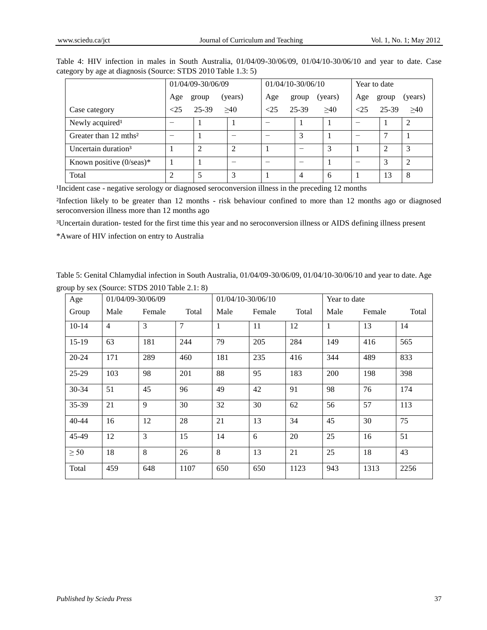|                                                               |  |  | Table 4: HIV infection in males in South Australia, 01/04/09-30/06/09, 01/04/10-30/06/10 and year to date. Case |  |  |  |
|---------------------------------------------------------------|--|--|-----------------------------------------------------------------------------------------------------------------|--|--|--|
| category by age at diagnosis (Source: STDS 2010 Table 1.3: 5) |  |  |                                                                                                                 |  |  |  |

|                                    |                | 01/04/09-30/06/09 |         |     | 01/04/10-30/06/10 |         | Year to date |       |                |
|------------------------------------|----------------|-------------------|---------|-----|-------------------|---------|--------------|-------|----------------|
|                                    | Age            | group             | (years) | Age | group             | (years) | Age          | group | (years)        |
| Case category                      | <25            | 25-39             | >40     | <25 | $25 - 39$         | >40     | <25          | 25-39 | >40            |
| Newly acquired <sup>1</sup>        |                |                   |         |     |                   |         |              |       |                |
| Greater than 12 mths <sup>2</sup>  |                |                   |         |     | 3                 |         |              |       |                |
| Uncertain duration <sup>3</sup>    |                | ∍                 | 2       |     |                   | 3       |              |       | 3              |
| Known positive $(0/\text{seas})^*$ |                |                   |         |     |                   |         |              |       | $\overline{2}$ |
| Total                              | $\mathfrak{D}$ |                   | 3       |     | 4                 | 6       |              | 13    | 8              |

Incident case - negative serology or diagnosed seroconversion illness in the preceding 12 months

Infection likely to be greater than 12 months - risk behaviour confined to more than 12 months ago or diagnosed seroconversion illness more than 12 months ago

³Uncertain duration- tested for the first time this year and no seroconversion illness or AIDS defining illness present

\*Aware of HIV infection on entry to Australia

Table 5: Genital Chlamydial infection in South Australia, 01/04/09-30/06/09, 01/04/10-30/06/10 and year to date. Age group by sex (Source: STDS 2010 Table 2.1: 8)

| Age       | 01/04/09-30/06/09 |        |       | 01/04/10-30/06/10 |        |       | Year to date |        |       |
|-----------|-------------------|--------|-------|-------------------|--------|-------|--------------|--------|-------|
| Group     | Male              | Female | Total | Male              | Female | Total | Male         | Female | Total |
| $10-14$   | $\overline{4}$    | 3      | 7     | 1                 | 11     | 12    | $\mathbf{1}$ | 13     | 14    |
| $15-19$   | 63                | 181    | 244   | 79                | 205    | 284   | 149          | 416    | 565   |
| $20 - 24$ | 171               | 289    | 460   | 181               | 235    | 416   | 344          | 489    | 833   |
| $25-29$   | 103               | 98     | 201   | 88                | 95     | 183   | 200          | 198    | 398   |
| $30 - 34$ | 51                | 45     | 96    | 49                | 42     | 91    | 98           | 76     | 174   |
| 35-39     | 21                | 9      | 30    | 32                | 30     | 62    | 56           | 57     | 113   |
| $40 - 44$ | 16                | 12     | 28    | 21                | 13     | 34    | 45           | 30     | 75    |
| 45-49     | 12                | 3      | 15    | 14                | 6      | 20    | 25           | 16     | 51    |
| $\geq 50$ | 18                | 8      | 26    | 8                 | 13     | 21    | 25           | 18     | 43    |
| Total     | 459               | 648    | 1107  | 650               | 650    | 1123  | 943          | 1313   | 2256  |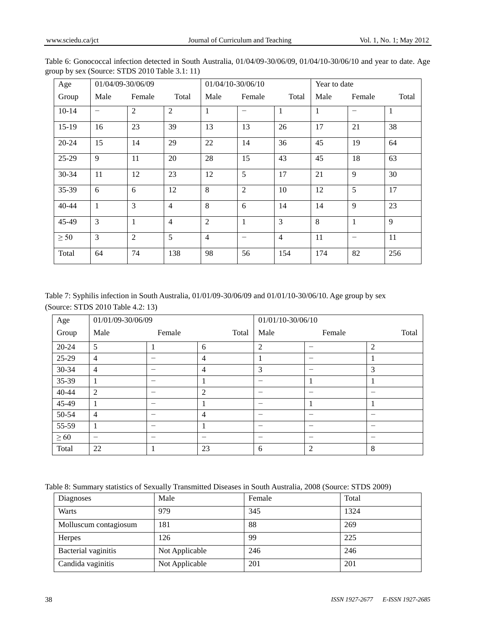| Age       | 01/04/09-30/06/09 |                |                | 01/04/10-30/06/10 |                          |                | Year to date |                          |              |
|-----------|-------------------|----------------|----------------|-------------------|--------------------------|----------------|--------------|--------------------------|--------------|
| Group     | Male              | Female         | Total          | Male              | Female                   | Total          | Male         | Female                   | Total        |
| $10-14$   | -                 | $\overline{2}$ | $\overline{2}$ | $\mathbf{1}$      | $\overline{\phantom{0}}$ | $\mathbf{1}$   | 1            | $\overline{\phantom{0}}$ | $\mathbf{1}$ |
| $15-19$   | 16                | 23             | 39             | 13                | 13                       | 26             | 17           | 21                       | 38           |
| $20 - 24$ | 15                | 14             | 29             | 22                | 14                       | 36             | 45           | 19                       | 64           |
| $25-29$   | 9                 | 11             | 20             | 28                | 15                       | 43             | 45           | 18                       | 63           |
| 30-34     | 11                | 12             | 23             | 12                | 5                        | 17             | 21           | 9                        | 30           |
| 35-39     | 6                 | 6              | 12             | 8                 | $\overline{2}$           | 10             | 12           | 5                        | 17           |
| $40 - 44$ | $\mathbf{1}$      | 3              | $\overline{4}$ | 8                 | 6                        | 14             | 14           | 9                        | 23           |
| 45-49     | $\overline{3}$    | $\mathbf{1}$   | $\overline{4}$ | $\overline{2}$    | $\mathbf{1}$             | 3              | 8            | 1                        | 9            |
| $\geq 50$ | 3                 | $\overline{2}$ | 5              | $\overline{4}$    | $\overline{\phantom{0}}$ | $\overline{4}$ | 11           | $\overline{\phantom{0}}$ | 11           |
| Total     | 64                | 74             | 138            | 98                | 56                       | 154            | 174          | 82                       | 256          |

Table 6: Gonococcal infection detected in South Australia, 01/04/09-30/06/09, 01/04/10-30/06/10 and year to date. Age group by sex (Source: STDS 2010 Table 3.1: 11)

Table 7: Syphilis infection in South Australia, 01/01/09-30/06/09 and 01/01/10-30/06/10. Age group by sex (Source: STDS 2010 Table 4.2: 13)

| Age       | 01/01/09-30/06/09 |        |                | 01/01/10-30/06/10 |                |       |
|-----------|-------------------|--------|----------------|-------------------|----------------|-------|
| Group     | Male              | Female | Total          | Male              | Female         | Total |
| $20 - 24$ | 5                 |        | 6              | $\overline{2}$    | -              | 2     |
| 25-29     | $\overline{4}$    |        | $\overline{4}$ |                   | –              |       |
| 30-34     | $\overline{4}$    |        | $\overline{4}$ | 3                 | –              | 3     |
| 35-39     | 1                 | -      | 1              |                   |                |       |
| 40-44     | $\overline{2}$    | -      | 2              |                   | –              | -     |
| 45-49     |                   | -      | 1              |                   |                |       |
| 50-54     | $\overline{4}$    |        | $\overline{4}$ |                   | –              |       |
| 55-59     | 1                 | -      | 1              |                   | –              | -     |
| $\geq 60$ | -                 | -      |                |                   | -              | -     |
| Total     | 22                |        | 23             | 6                 | $\overline{c}$ | 8     |

Table 8: Summary statistics of Sexually Transmitted Diseases in South Australia, 2008 (Source: STDS 2009)

| Diagnoses             | Male           | Female | Total |
|-----------------------|----------------|--------|-------|
| Warts                 | 979            | 345    | 1324  |
| Molluscum contagiosum | 181            | 88     | 269   |
| <b>Herpes</b>         | 126            | 99     | 225   |
| Bacterial vaginitis   | Not Applicable | 246    | 246   |
| Candida vaginitis     | Not Applicable | 201    | 201   |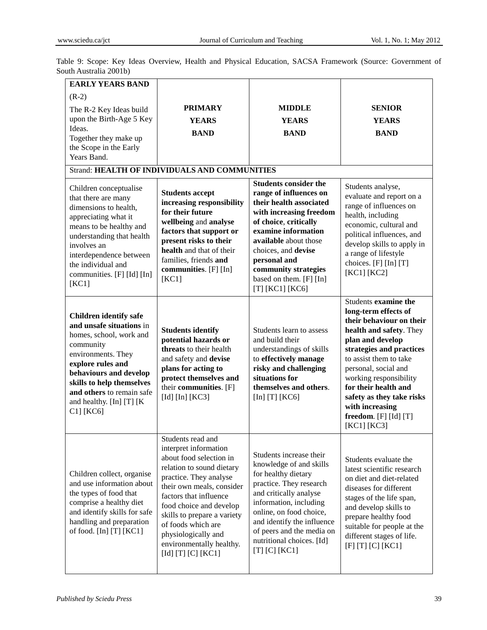| <b>EARLY YEARS BAND</b>                                                                                                                                                                                                                                                             |                                                                                                                                                                                                                                                                                                                                              |                                                                                                                                                                                                                                                                                                        |                                                                                                                                                                                                                                                                                                                                                 |
|-------------------------------------------------------------------------------------------------------------------------------------------------------------------------------------------------------------------------------------------------------------------------------------|----------------------------------------------------------------------------------------------------------------------------------------------------------------------------------------------------------------------------------------------------------------------------------------------------------------------------------------------|--------------------------------------------------------------------------------------------------------------------------------------------------------------------------------------------------------------------------------------------------------------------------------------------------------|-------------------------------------------------------------------------------------------------------------------------------------------------------------------------------------------------------------------------------------------------------------------------------------------------------------------------------------------------|
| $(R-2)$                                                                                                                                                                                                                                                                             |                                                                                                                                                                                                                                                                                                                                              |                                                                                                                                                                                                                                                                                                        |                                                                                                                                                                                                                                                                                                                                                 |
| The R-2 Key Ideas build                                                                                                                                                                                                                                                             | <b>PRIMARY</b>                                                                                                                                                                                                                                                                                                                               | <b>MIDDLE</b>                                                                                                                                                                                                                                                                                          | <b>SENIOR</b>                                                                                                                                                                                                                                                                                                                                   |
| upon the Birth-Age 5 Key                                                                                                                                                                                                                                                            | <b>YEARS</b>                                                                                                                                                                                                                                                                                                                                 | <b>YEARS</b>                                                                                                                                                                                                                                                                                           | <b>YEARS</b>                                                                                                                                                                                                                                                                                                                                    |
| Ideas.<br>Together they make up                                                                                                                                                                                                                                                     | <b>BAND</b>                                                                                                                                                                                                                                                                                                                                  | <b>BAND</b>                                                                                                                                                                                                                                                                                            | <b>BAND</b>                                                                                                                                                                                                                                                                                                                                     |
| the Scope in the Early                                                                                                                                                                                                                                                              |                                                                                                                                                                                                                                                                                                                                              |                                                                                                                                                                                                                                                                                                        |                                                                                                                                                                                                                                                                                                                                                 |
| Years Band.                                                                                                                                                                                                                                                                         |                                                                                                                                                                                                                                                                                                                                              |                                                                                                                                                                                                                                                                                                        |                                                                                                                                                                                                                                                                                                                                                 |
|                                                                                                                                                                                                                                                                                     | <b>Strand: HEALTH OF INDIVIDUALS AND COMMUNITIES</b>                                                                                                                                                                                                                                                                                         |                                                                                                                                                                                                                                                                                                        |                                                                                                                                                                                                                                                                                                                                                 |
| Children conceptualise<br>that there are many<br>dimensions to health,<br>appreciating what it<br>means to be healthy and<br>understanding that health<br>involves an<br>interdependence between<br>the individual and<br>communities. [F] [Id] [In]<br>[KC1]                       | <b>Students accept</b><br>increasing responsibility<br>for their future<br>wellbeing and analyse<br>factors that support or<br>present risks to their<br>health and that of their<br>families, friends and<br>communities. [F] [In]<br>[KC1]                                                                                                 | <b>Students consider the</b><br>range of influences on<br>their health associated<br>with increasing freedom<br>of choice, critically<br>examine information<br>available about those<br>choices, and devise<br>personal and<br>community strategies<br>based on them. [F] [In]<br>[T] $[KC1]$ $[KC6]$ | Students analyse,<br>evaluate and report on a<br>range of influences on<br>health, including<br>economic, cultural and<br>political influences, and<br>develop skills to apply in<br>a range of lifestyle<br>choices. [F] [In] [T]<br>[KC1] [KC2]                                                                                               |
| <b>Children identify safe</b><br>and unsafe situations in<br>homes, school, work and<br>community<br>environments. They<br>explore rules and<br>behaviours and develop<br>skills to help themselves<br>and others to remain safe<br>and healthy. $[In]$ $[T]$ $[K]$<br>$C1$ ] [KC6] | <b>Students identify</b><br>potential hazards or<br>threats to their health<br>and safety and devise<br>plans for acting to<br>protect themselves and<br>their communities. [F]<br>[Id] $[In]$ [KC3]                                                                                                                                         | Students learn to assess<br>and build their<br>understandings of skills<br>to effectively manage<br>risky and challenging<br>situations for<br>themselves and others.<br>[In] $[T]$ [KC6]                                                                                                              | Students examine the<br>long-term effects of<br>their behaviour on their<br>health and safety. They<br>plan and develop<br>strategies and practices<br>to assist them to take<br>personal, social and<br>working responsibility<br>for their health and<br>safety as they take risks<br>with increasing<br>freedom. [F] [Id] [T]<br>[KC1] [KC3] |
| Children collect, organise<br>and use information about<br>the types of food that<br>comprise a healthy diet<br>and identify skills for safe<br>handling and preparation<br>of food. $[In]$ $[T]$ $[KC1]$                                                                           | Students read and<br>interpret information<br>about food selection in<br>relation to sound dietary<br>practice. They analyse<br>their own meals, consider<br>factors that influence<br>food choice and develop<br>skills to prepare a variety<br>of foods which are<br>physiologically and<br>environmentally healthy.<br>[Id] [T] [C] [KC1] | Students increase their<br>knowledge of and skills<br>for healthy dietary<br>practice. They research<br>and critically analyse<br>information, including<br>online, on food choice,<br>and identify the influence<br>of peers and the media on<br>nutritional choices. [Id]<br>$[T]$ $[C]$ $[KC1]$     | Students evaluate the<br>latest scientific research<br>on diet and diet-related<br>diseases for different<br>stages of the life span,<br>and develop skills to<br>prepare healthy food<br>suitable for people at the<br>different stages of life.<br>$[F]$ [T] $[C]$ [KC1]                                                                      |

Table 9: Scope: Key Ideas Overview, Health and Physical Education, SACSA Framework (Source: Government of South Australia 2001b)